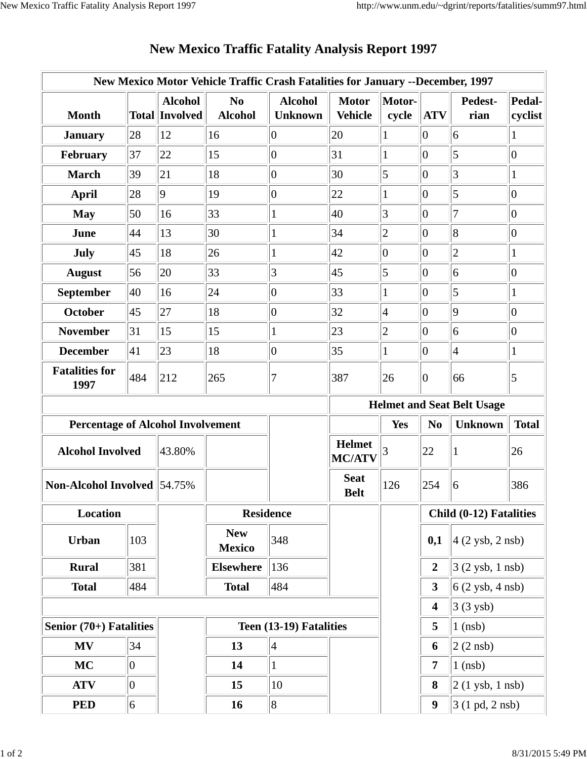|                                          |                |                                         | New Mexico Motor Vehicle Traffic Crash Fatalities for January --December, 1997 |                                  |                                |                 |                                   |                                   |                   |  |
|------------------------------------------|----------------|-----------------------------------------|--------------------------------------------------------------------------------|----------------------------------|--------------------------------|-----------------|-----------------------------------|-----------------------------------|-------------------|--|
| <b>Month</b>                             |                | <b>Alcohol</b><br><b>Total Involved</b> | N <sub>0</sub><br><b>Alcohol</b>                                               | <b>Alcohol</b><br><b>Unknown</b> | <b>Motor</b><br><b>Vehicle</b> | Motor-<br>cycle | <b>ATV</b>                        | Pedest-<br>rian                   | Pedal-<br>cyclist |  |
| <b>January</b>                           | 28             | 12                                      | 16                                                                             | $\vert 0 \vert$                  | 20                             | 1               | $\overline{0}$                    | 6                                 | $\mathbf{1}$      |  |
| February                                 | 37             | 22                                      | 15                                                                             | $\vert 0 \vert$                  | 31                             | 1               | $ 0\rangle$                       | 5                                 | $\overline{0}$    |  |
| <b>March</b>                             | 39             | 21                                      | 18                                                                             | $\vert 0 \vert$                  | 30                             | 5               | $\overline{0}$                    | 3                                 | $\mathbf{1}$      |  |
| <b>April</b>                             | 28             | $\overline{9}$                          | 19                                                                             | $\overline{0}$                   | 22                             | 1               | $\overline{0}$                    | 5                                 | $\overline{0}$    |  |
| <b>May</b>                               | 50             | 16                                      | 33                                                                             | $\mathbf{1}$                     | 40                             | 3               | $\overline{0}$                    | 7                                 | $\overline{0}$    |  |
| June                                     | 44             | 13                                      | 30                                                                             | $\mathbf{1}$                     | 34                             | $\overline{c}$  | $\overline{0}$                    | 8                                 | $\boldsymbol{0}$  |  |
| July                                     | 45             | 18                                      | 26                                                                             | $\mathbf{1}$                     | 42                             | $ 0\rangle$     | $\overline{0}$                    | $\overline{c}$                    | $\mathbf{1}$      |  |
| <b>August</b>                            | 56             | 20                                      | 33                                                                             | 3                                | 45                             | 5               | $\overline{0}$                    | 6                                 | $\boldsymbol{0}$  |  |
| September                                | 40             | 16                                      | 24                                                                             | $\vert 0 \vert$                  | 33                             | 1               | $ 0\rangle$                       | 5                                 | $\mathbf{1}$      |  |
| <b>October</b>                           | 45             | 27                                      | 18                                                                             | $\overline{0}$                   | 32                             | $\vert 4$       | $\overline{0}$                    | 9                                 | $\vert 0 \vert$   |  |
| <b>November</b>                          | 31             | 15                                      | 15                                                                             | $\mathbf{1}$                     | 23                             | $\overline{c}$  | $\overline{0}$                    | 6                                 | $\boldsymbol{0}$  |  |
| <b>December</b>                          | 41             | 23                                      | 18                                                                             | $\vert 0 \vert$                  | 35                             | 1               | $\overline{0}$                    | $\overline{4}$                    | $\mathbf{1}$      |  |
| <b>Fatalities for</b><br>1997            | 484            | 212                                     | 265                                                                            | 7                                | 387                            | 26              | $ 0\rangle$                       | 66                                | $\overline{5}$    |  |
|                                          |                |                                         |                                                                                |                                  |                                |                 | <b>Helmet and Seat Belt Usage</b> |                                   |                   |  |
| <b>Percentage of Alcohol Involvement</b> |                |                                         |                                                                                |                                  |                                | <b>Yes</b>      | N <sub>0</sub>                    | <b>Unknown</b><br><b>Total</b>    |                   |  |
| <b>Alcohol Involved</b>                  |                |                                         |                                                                                |                                  |                                |                 |                                   |                                   |                   |  |
|                                          |                | 43.80%                                  |                                                                                |                                  | <b>Helmet</b><br><b>MC/ATV</b> | 3               | 22                                | 1                                 | 26                |  |
| <b>Non-Alcohol Involved 54.75%</b>       |                |                                         |                                                                                |                                  | <b>Seat</b><br><b>Belt</b>     | 126             | 254                               | 6                                 | 386               |  |
| Location                                 |                |                                         | <b>Residence</b>                                                               |                                  |                                |                 |                                   | Child (0-12) Fatalities           |                   |  |
| <b>Urban</b>                             | 103            |                                         | <b>New</b><br><b>Mexico</b>                                                    | 348                              |                                |                 | 0,1                               | $4(2 \text{ ysb}, 2 \text{ nsb})$ |                   |  |
| <b>Rural</b>                             | 381            |                                         | <b>Elsewhere</b>                                                               | 136                              |                                |                 | $\boldsymbol{2}$                  | $3(2 \text{ ysb}, 1 \text{ nsb})$ |                   |  |
| <b>Total</b>                             | 484            |                                         | <b>Total</b>                                                                   | 484                              |                                |                 | $\overline{\mathbf{3}}$           | $6(2 \text{ ysb}, 4 \text{ nsb})$ |                   |  |
|                                          |                |                                         |                                                                                |                                  |                                |                 | $\overline{\mathbf{4}}$           | $3(3$ ysb)                        |                   |  |
| Senior $(70+)$ Fatalities                |                |                                         |                                                                                | Teen (13-19) Fatalities          |                                |                 | 5                                 | $1$ (nsb)                         |                   |  |
| <b>MV</b>                                | 34             |                                         | 13                                                                             | $\vert 4 \vert$                  |                                |                 | 6                                 | $ 2(2 \text{ nsb}) $              |                   |  |
| <b>MC</b>                                | $\overline{0}$ |                                         | 14                                                                             | $\mathbf{1}$                     |                                |                 | 7                                 | $1$ (nsb)                         |                   |  |
| <b>ATV</b>                               | $\overline{0}$ |                                         | 15                                                                             | 10                               |                                |                 | 8                                 | $2(1$ ysb, 1 nsb)                 |                   |  |

## **New Mexico Traffic Fatality Analysis Report 1997**